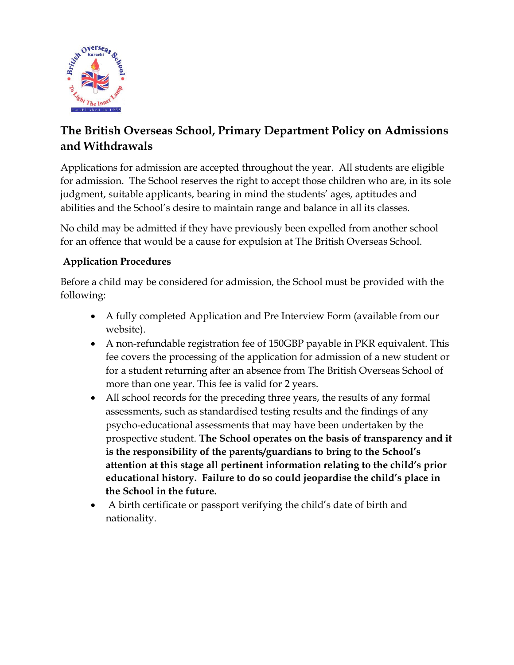

# **The British Overseas School, Primary Department Policy on Admissions and Withdrawals**

Applications for admission are accepted throughout the year. All students are eligible for admission. The School reserves the right to accept those children who are, in its sole judgment, suitable applicants, bearing in mind the students' ages, aptitudes and abilities and the School's desire to maintain range and balance in all its classes.

No child may be admitted if they have previously been expelled from another school for an offence that would be a cause for expulsion at The British Overseas School.

## **Application Procedures**

Before a child may be considered for admission, the School must be provided with the following:

- A fully completed Application and Pre Interview Form (available from our website).
- A non-refundable registration fee of 150GBP payable in PKR equivalent. This fee covers the processing of the application for admission of a new student or for a student returning after an absence from The British Overseas School of more than one year. This fee is valid for 2 years.
- All school records for the preceding three years, the results of any formal assessments, such as standardised testing results and the findings of any psycho-educational assessments that may have been undertaken by the prospective student. **The School operates on the basis of transparency and it is the responsibility of the parents/guardians to bring to the School's attention at this stage all pertinent information relating to the child's prior educational history. Failure to do so could jeopardise the child's place in the School in the future.**
- A birth certificate or passport verifying the child's date of birth and nationality.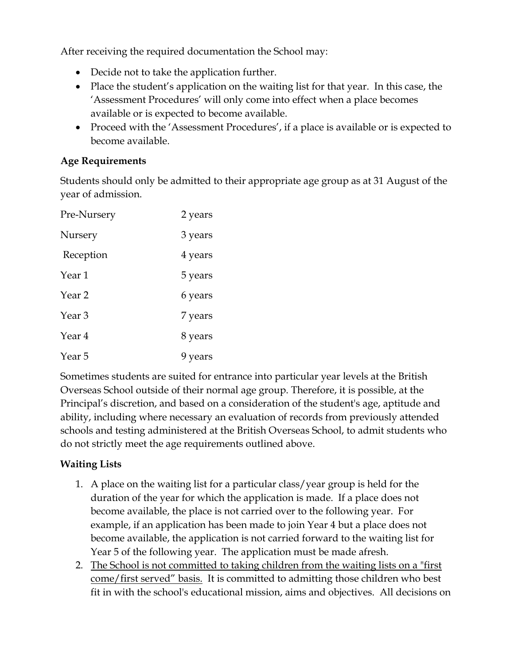After receiving the required documentation the School may:

- Decide not to take the application further.
- Place the student's application on the waiting list for that year. In this case, the 'Assessment Procedures' will only come into effect when a place becomes available or is expected to become available.
- Proceed with the 'Assessment Procedures', if a place is available or is expected to become available.

#### **Age Requirements**

Students should only be admitted to their appropriate age group as at 31 August of the year of admission.

| Pre-Nursery | 2 years |
|-------------|---------|
| Nursery     | 3 years |
| Reception   | 4 years |
| Year 1      | 5 years |
| Year 2      | 6 years |
| Year 3      | 7 years |
| Year 4      | 8 years |
| Year 5      | 9 years |

Sometimes students are suited for entrance into particular year levels at the British Overseas School outside of their normal age group. Therefore, it is possible, at the Principal's discretion, and based on a consideration of the student's age, aptitude and ability, including where necessary an evaluation of records from previously attended schools and testing administered at the British Overseas School, to admit students who do not strictly meet the age requirements outlined above.

## **Waiting Lists**

- 1. A place on the waiting list for a particular class/year group is held for the duration of the year for which the application is made. If a place does not become available, the place is not carried over to the following year. For example, if an application has been made to join Year 4 but a place does not become available, the application is not carried forward to the waiting list for Year 5 of the following year. The application must be made afresh.
- 2. The School is not committed to taking children from the waiting lists on a "first come/first served" basis. It is committed to admitting those children who best fit in with the school's educational mission, aims and objectives. All decisions on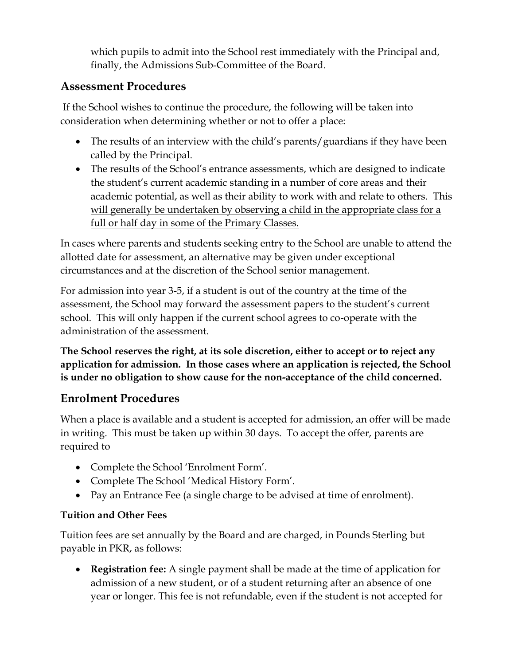which pupils to admit into the School rest immediately with the Principal and, finally, the Admissions Sub-Committee of the Board.

# **Assessment Procedures**

If the School wishes to continue the procedure, the following will be taken into consideration when determining whether or not to offer a place:

- The results of an interview with the child's parents/guardians if they have been called by the Principal.
- The results of the School's entrance assessments, which are designed to indicate the student's current academic standing in a number of core areas and their academic potential, as well as their ability to work with and relate to others. This will generally be undertaken by observing a child in the appropriate class for a full or half day in some of the Primary Classes.

In cases where parents and students seeking entry to the School are unable to attend the allotted date for assessment, an alternative may be given under exceptional circumstances and at the discretion of the School senior management.

For admission into year 3-5, if a student is out of the country at the time of the assessment, the School may forward the assessment papers to the student's current school. This will only happen if the current school agrees to co-operate with the administration of the assessment.

**The School reserves the right, at its sole discretion, either to accept or to reject any application for admission. In those cases where an application is rejected, the School is under no obligation to show cause for the non-acceptance of the child concerned.**

# **Enrolment Procedures**

When a place is available and a student is accepted for admission, an offer will be made in writing. This must be taken up within 30 days. To accept the offer, parents are required to

- Complete the School 'Enrolment Form'.
- Complete The School 'Medical History Form'.
- Pay an Entrance Fee (a single charge to be advised at time of enrolment).

## **Tuition and Other Fees**

Tuition fees are set annually by the Board and are charged, in Pounds Sterling but payable in PKR, as follows:

 **Registration fee:** A single payment shall be made at the time of application for admission of a new student, or of a student returning after an absence of one year or longer. This fee is not refundable, even if the student is not accepted for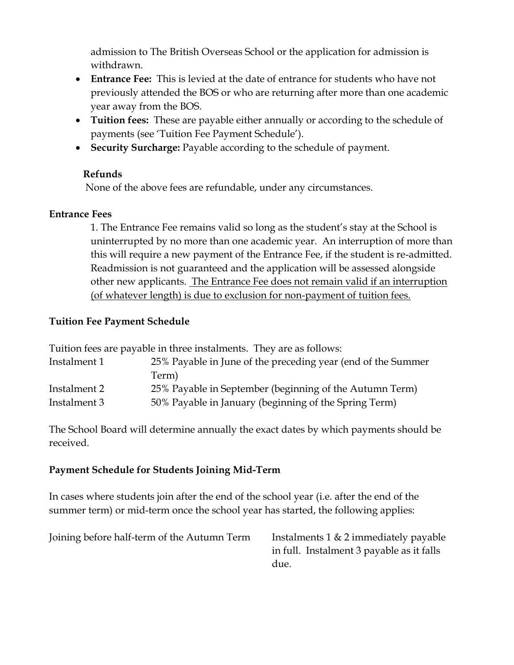admission to The British Overseas School or the application for admission is withdrawn.

- **Entrance Fee:** This is levied at the date of entrance for students who have not previously attended the BOS or who are returning after more than one academic year away from the BOS.
- **Tuition fees:** These are payable either annually or according to the schedule of payments (see 'Tuition Fee Payment Schedule').
- **Security Surcharge:** Payable according to the schedule of payment.

## **Refunds**

None of the above fees are refundable, under any circumstances.

## **Entrance Fees**

1. The Entrance Fee remains valid so long as the student's stay at the School is uninterrupted by no more than one academic year. An interruption of more than this will require a new payment of the Entrance Fee, if the student is re-admitted. Readmission is not guaranteed and the application will be assessed alongside other new applicants. The Entrance Fee does not remain valid if an interruption (of whatever length) is due to exclusion for non-payment of tuition fees.

## **Tuition Fee Payment Schedule**

Tuition fees are payable in three instalments. They are as follows:

| Instalment 1 | 25% Payable in June of the preceding year (end of the Summer |
|--------------|--------------------------------------------------------------|
|              | Term)                                                        |
| Instalment 2 | 25% Payable in September (beginning of the Autumn Term)      |
| Instalment 3 | 50% Payable in January (beginning of the Spring Term)        |

The School Board will determine annually the exact dates by which payments should be received.

## **Payment Schedule for Students Joining Mid-Term**

In cases where students join after the end of the school year (i.e. after the end of the summer term) or mid-term once the school year has started, the following applies:

| Joining before half-term of the Autumn Term | Instalments $1 \& 2$ immediately payable  |
|---------------------------------------------|-------------------------------------------|
|                                             | in full. Instalment 3 payable as it falls |
|                                             | due.                                      |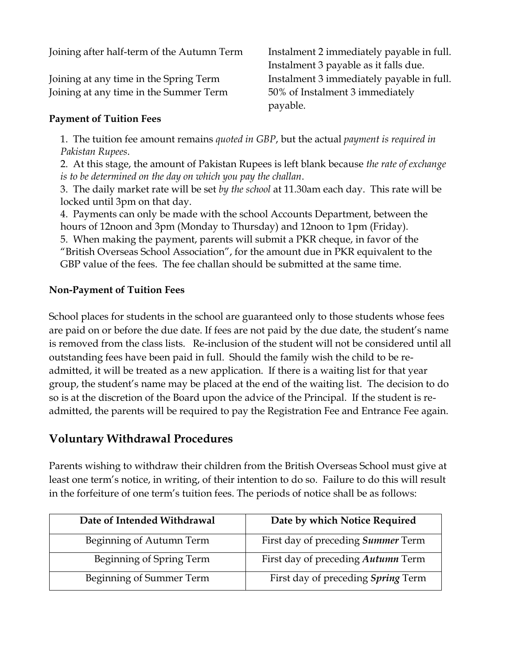Joining after half-term of the Autumn Term Instalment 2 immediately payable in full.

Joining at any time in the Summer Term 50% of Instalment 3 immediately

Instalment 3 payable as it falls due. Joining at any time in the Spring Term Instalment 3 immediately payable in full. payable.

#### **Payment of Tuition Fees**

1. The tuition fee amount remains *quoted in GBP*, but the actual *payment is required in Pakistan Rupees*.

2. At this stage, the amount of Pakistan Rupees is left blank because *the rate of exchange is to be determined on the day on which you pay the challan*.

3. The daily market rate will be set *by the school* at 11.30am each day. This rate will be locked until 3pm on that day.

4. Payments can only be made with the school Accounts Department, between the hours of 12noon and 3pm (Monday to Thursday) and 12noon to 1pm (Friday).

5. When making the payment, parents will submit a PKR cheque, in favor of the "British Overseas School Association", for the amount due in PKR equivalent to the GBP value of the fees. The fee challan should be submitted at the same time.

#### **Non-Payment of Tuition Fees**

School places for students in the school are guaranteed only to those students whose fees are paid on or before the due date. If fees are not paid by the due date, the student's name is removed from the class lists. Re-inclusion of the student will not be considered until all outstanding fees have been paid in full. Should the family wish the child to be readmitted, it will be treated as a new application. If there is a waiting list for that year group, the student's name may be placed at the end of the waiting list. The decision to do so is at the discretion of the Board upon the advice of the Principal. If the student is readmitted, the parents will be required to pay the Registration Fee and Entrance Fee again.

# **Voluntary Withdrawal Procedures**

Parents wishing to withdraw their children from the British Overseas School must give at least one term's notice, in writing, of their intention to do so. Failure to do this will result in the forfeiture of one term's tuition fees. The periods of notice shall be as follows:

| Date of Intended Withdrawal | Date by which Notice Required      |
|-----------------------------|------------------------------------|
| Beginning of Autumn Term    | First day of preceding Summer Term |
| Beginning of Spring Term    | First day of preceding Autumn Term |
| Beginning of Summer Term    | First day of preceding Spring Term |